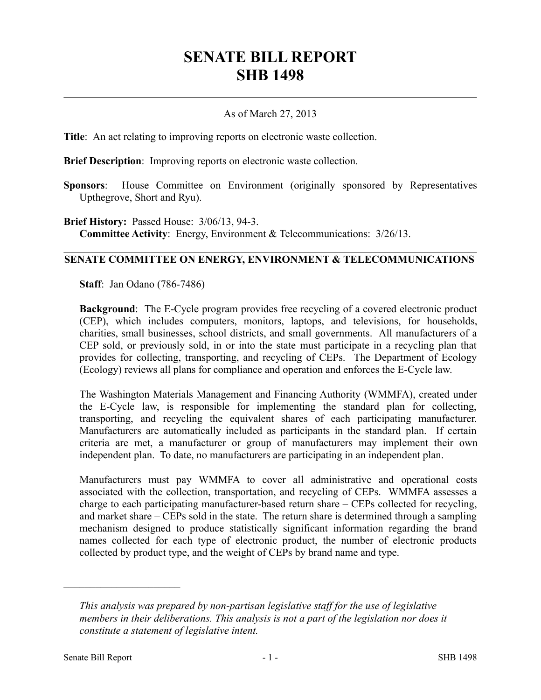## **SENATE BILL REPORT SHB 1498**

## As of March 27, 2013

**Title**: An act relating to improving reports on electronic waste collection.

**Brief Description**: Improving reports on electronic waste collection.

**Sponsors**: House Committee on Environment (originally sponsored by Representatives Upthegrove, Short and Ryu).

**Brief History:** Passed House: 3/06/13, 94-3. **Committee Activity**: Energy, Environment & Telecommunications: 3/26/13.

## **SENATE COMMITTEE ON ENERGY, ENVIRONMENT & TELECOMMUNICATIONS**

**Staff**: Jan Odano (786-7486)

**Background**: The E-Cycle program provides free recycling of a covered electronic product (CEP), which includes computers, monitors, laptops, and televisions, for households, charities, small businesses, school districts, and small governments. All manufacturers of a CEP sold, or previously sold, in or into the state must participate in a recycling plan that provides for collecting, transporting, and recycling of CEPs. The Department of Ecology (Ecology) reviews all plans for compliance and operation and enforces the E-Cycle law.

The Washington Materials Management and Financing Authority (WMMFA), created under the E-Cycle law, is responsible for implementing the standard plan for collecting, transporting, and recycling the equivalent shares of each participating manufacturer. Manufacturers are automatically included as participants in the standard plan. If certain criteria are met, a manufacturer or group of manufacturers may implement their own independent plan. To date, no manufacturers are participating in an independent plan.

Manufacturers must pay WMMFA to cover all administrative and operational costs associated with the collection, transportation, and recycling of CEPs. WMMFA assesses a charge to each participating manufacturer-based return share – CEPs collected for recycling, and market share – CEPs sold in the state. The return share is determined through a sampling mechanism designed to produce statistically significant information regarding the brand names collected for each type of electronic product, the number of electronic products collected by product type, and the weight of CEPs by brand name and type.

––––––––––––––––––––––

*This analysis was prepared by non-partisan legislative staff for the use of legislative members in their deliberations. This analysis is not a part of the legislation nor does it constitute a statement of legislative intent.*